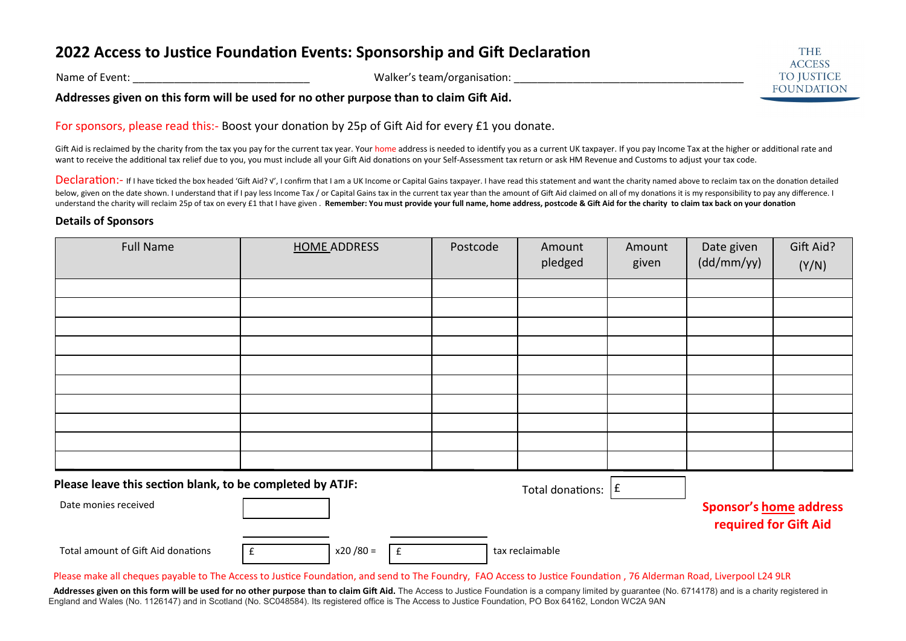## **2022 Access to Justice Foundation Events: Sponsorship and Gift Declaration**

Name of Event: \_\_\_\_\_\_\_\_\_\_\_\_\_\_\_\_\_\_\_\_\_\_\_\_\_\_\_\_\_\_ Walker's team/organisation: \_\_\_\_\_\_\_\_\_\_\_\_\_\_\_\_\_\_\_\_\_\_\_\_\_\_\_\_\_\_\_\_\_\_\_\_\_\_\_

**Addresses given on this form will be used for no other purpose than to claim Gift Aid.** 

For sponsors, please read this:- Boost your donation by 25p of Gift Aid for every £1 you donate.

Gift Aid is reclaimed by the charity from the tax you pay for the current tax year. Your home address is needed to identify you as a current UK taxpayer. If you pay Income Tax at the higher or additional rate and want to receive the additional tax relief due to you, you must include all your Gift Aid donations on your Self-Assessment tax return or ask HM Revenue and Customs to adjust your tax code.

Declaration:- If I have ticked the box headed 'Gift Aid? √'. I confirm that I am a UK Income or Capital Gains taxpayer. I have read this statement and want the charity named above to reclaim tax on the donation detailed below, given on the date shown. I understand that if I pay less Income Tax / or Capital Gains tax in the current tax year than the amount of Gift Aid claimed on all of my donations it is my responsibility to pay any differ understand the charity will reclaim 25p of tax on every £1 that I have given. Remember: You must provide your full name, home address, postcode & Gift Aid for the charity to claim tax back on your donation

## **Details of Sponsors**

| <b>Full Name</b>                                                                    | <b>HOME ADDRESS</b> |                    | Postcode | Amount<br>pledged | Amount<br>given | Date given<br>(dd/mm/yy) | Gift Aid?<br>(Y/N)                                     |  |
|-------------------------------------------------------------------------------------|---------------------|--------------------|----------|-------------------|-----------------|--------------------------|--------------------------------------------------------|--|
|                                                                                     |                     |                    |          |                   |                 |                          |                                                        |  |
|                                                                                     |                     |                    |          |                   |                 |                          |                                                        |  |
|                                                                                     |                     |                    |          |                   |                 |                          |                                                        |  |
|                                                                                     |                     |                    |          |                   |                 |                          |                                                        |  |
|                                                                                     |                     |                    |          |                   |                 |                          |                                                        |  |
|                                                                                     |                     |                    |          |                   |                 |                          |                                                        |  |
|                                                                                     |                     |                    |          |                   |                 |                          |                                                        |  |
|                                                                                     |                     |                    |          |                   |                 |                          |                                                        |  |
|                                                                                     |                     |                    |          |                   |                 |                          |                                                        |  |
|                                                                                     |                     |                    |          |                   |                 |                          |                                                        |  |
| Please leave this section blank, to be completed by ATJF:<br>Total donations: $ f $ |                     |                    |          |                   |                 |                          |                                                        |  |
| Date monies received                                                                |                     |                    |          |                   |                 |                          | <b>Sponsor's home address</b><br>required for Gift Aid |  |
| Total amount of Gift Aid donations                                                  | $x20/80 =$<br>£     | $\pmb{\mathsf{f}}$ |          | tax reclaimable   |                 |                          |                                                        |  |

Please make all cheques payable to The Access to Justice Foundation, and send to The Foundry, FAO Access to Justice Foundation , 76 Alderman Road, Liverpool L24 9LR

Addresses given on this form will be used for no other purpose than to claim Gift Aid. The Access to Justice Foundation is a company limited by guarantee (No. 6714178) and is a charity registered in England and Wales (No. 1126147) and in Scotland (No. SC048584). Its registered office is The Access to Justice Foundation, PO Box 64162, London WC2A 9AN